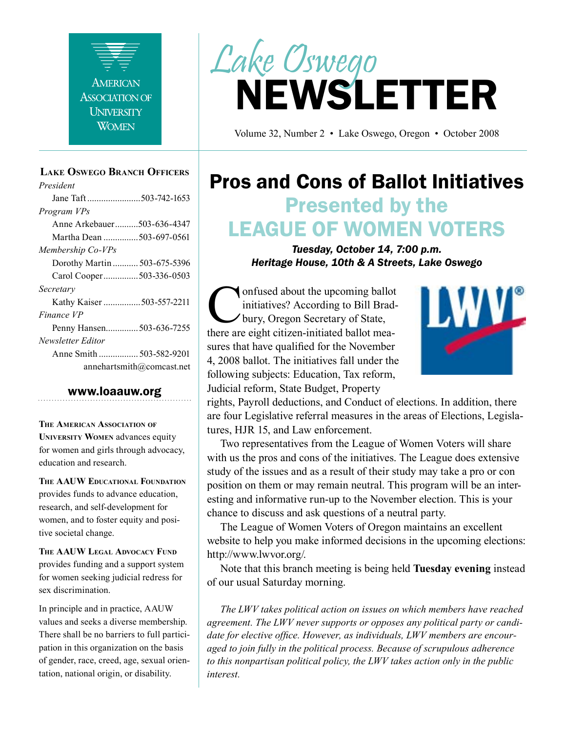

#### **Lake Oswego Branch Officers**

*President* Jane Taft .......................503-742-1653 *Program VPs* Anne Arkebauer..........503-636-4347 Martha Dean ...............503-697-0561 *Membership Co-VPs* Dorothy Martin ........... 503-675-5396 Carol Cooper...............503-336-0503 *Secretary* Kathy Kaiser ................503-557-2211 *Finance VP* Penny Hansen..............503-636-7255 *Newsletter Editor* Anne Smith ................. 503-582-9201 annehartsmith@comcast.net

#### www.loaauw.org

**The American Association of University Women** advances equity for women and girls through advocacy, education and research.

**The AAUW Educational Foundation** provides funds to advance education, research, and self-development for women, and to foster equity and positive societal change.

**The AAUW Legal Advocacy Fund** provides funding and a support system for women seeking judicial redress for sex discrimination.

In principle and in practice, AAUW values and seeks a diverse membership. There shall be no barriers to full participation in this organization on the basis of gender, race, creed, age, sexual orientation, national origin, or disability.



Volume 32, Number 2 • Lake Oswego, Oregon • October 2008

## Pros and Cons of Ballot Initiatives Presented by the LEAGUE OF WOMEN VOTERS

*Tuesday, October 14, 7:00 p.m. Heritage House, 10th & A Streets, Lake Oswego*

**Confused about the upcoming ballot**<br>initiatives? According to Bill Brad-<br>bury, Oregon Secretary of State,<br>there are eight citizen-initiated ballot meainitiatives? According to Bill Bradbury, Oregon Secretary of State, there are eight citizen-initiated ballot measures that have qualified for the November 4, 2008 ballot. The initiatives fall under the following subjects: Education, Tax reform, Judicial reform, State Budget, Property



rights, Payroll deductions, and Conduct of elections. In addition, there are four Legislative referral measures in the areas of Elections, Legislatures, HJR 15, and Law enforcement.

Two representatives from the League of Women Voters will share with us the pros and cons of the initiatives. The League does extensive study of the issues and as a result of their study may take a pro or con position on them or may remain neutral. This program will be an interesting and informative run-up to the November election. This is your chance to discuss and ask questions of a neutral party.

The League of Women Voters of Oregon maintains an excellent website to help you make informed decisions in the upcoming elections: http://www.lwvor.org/.

Note that this branch meeting is being held **Tuesday evening** instead of our usual Saturday morning.

*The LWV takes political action on issues on which members have reached agreement. The LWV never supports or opposes any political party or candidate for elective office. However, as individuals, LWV members are encouraged to join fully in the political process. Because of scrupulous adherence to this nonpartisan political policy, the LWV takes action only in the public interest.*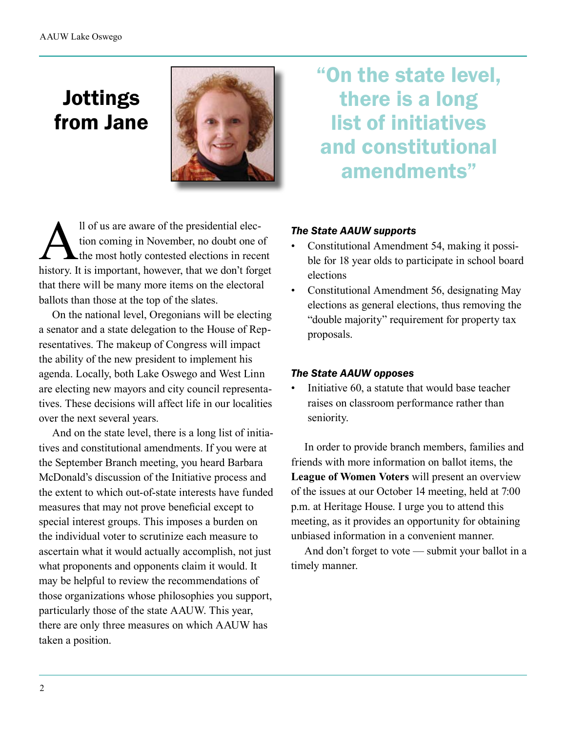## Jottings from Jane



Il of us are aware of the presidential election coming in November, no doubt one of<br>the most hotly contested elections in rece tion coming in November, no doubt one of the most hotly contested elections in recent history. It is important, however, that we don't forget that there will be many more items on the electoral ballots than those at the top of the slates.

On the national level, Oregonians will be electing a senator and a state delegation to the House of Representatives. The makeup of Congress will impact the ability of the new president to implement his agenda. Locally, both Lake Oswego and West Linn are electing new mayors and city council representatives. These decisions will affect life in our localities over the next several years.

And on the state level, there is a long list of initiatives and constitutional amendments. If you were at the September Branch meeting, you heard Barbara McDonald's discussion of the Initiative process and the extent to which out-of-state interests have funded measures that may not prove beneficial except to special interest groups. This imposes a burden on the individual voter to scrutinize each measure to ascertain what it would actually accomplish, not just what proponents and opponents claim it would. It may be helpful to review the recommendations of those organizations whose philosophies you support, particularly those of the state AAUW. This year, there are only three measures on which AAUW has taken a position.

"On the state level, there is a long list of initiatives and constitutional amendments"

#### *The State AAUW supports*

- Constitutional Amendment 54, making it possible for 18 year olds to participate in school board elections
- Constitutional Amendment 56, designating May elections as general elections, thus removing the "double majority" requirement for property tax proposals.

#### *The State AAUW opposes*

• Initiative 60, a statute that would base teacher raises on classroom performance rather than seniority.

In order to provide branch members, families and friends with more information on ballot items, the **League of Women Voters** will present an overview of the issues at our October 14 meeting, held at 7:00 p.m. at Heritage House. I urge you to attend this meeting, as it provides an opportunity for obtaining unbiased information in a convenient manner.

And don't forget to vote — submit your ballot in a timely manner.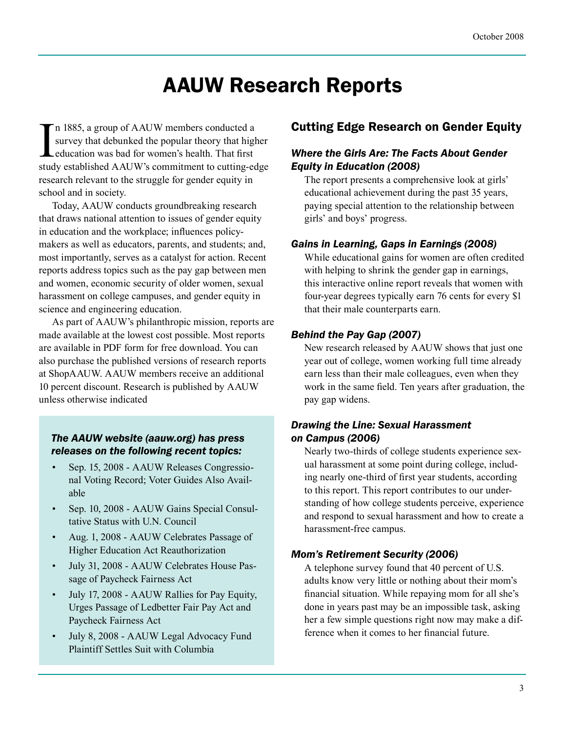## AAUW Research Reports

In 1885, a group of AAUW members conducted a<br>survey that debunked the popular theory that higher<br>education was bad for women's health. That first<br>study established AAUW's commitment to cutting-edge n 1885, a group of AAUW members conducted a survey that debunked the popular theory that higher education was bad for women's health. That first research relevant to the struggle for gender equity in school and in society.

Today, AAUW conducts groundbreaking research that draws national attention to issues of gender equity in education and the workplace; influences policymakers as well as educators, parents, and students; and, most importantly, serves as a catalyst for action. Recent reports address topics such as the pay gap between men and women, economic security of older women, sexual harassment on college campuses, and gender equity in science and engineering education.

As part of AAUW's philanthropic mission, reports are made available at the lowest cost possible. Most reports are available in PDF form for free download. You can also purchase the published versions of research reports at ShopAAUW. AAUW members receive an additional 10 percent discount. Research is published by AAUW unless otherwise indicated

#### *The AAUW website (aauw.org) has press releases on the following recent topics:*

- Sep. 15, 2008 AAUW Releases Congressional Voting Record; Voter Guides Also Available
- Sep. 10, 2008 AAUW Gains Special Consultative Status with U.N. Council
- Aug. 1, 2008 AAUW Celebrates Passage of Higher Education Act Reauthorization
- July 31, 2008 AAUW Celebrates House Passage of Paycheck Fairness Act
- July 17, 2008 AAUW Rallies for Pay Equity, Urges Passage of Ledbetter Fair Pay Act and Paycheck Fairness Act
- July 8, 2008 AAUW Legal Advocacy Fund Plaintiff Settles Suit with Columbia

## Cutting Edge Research on Gender Equity

#### *Where the Girls Are: The Facts About Gender Equity in Education (2008)*

The report presents a comprehensive look at girls' educational achievement during the past 35 years, paying special attention to the relationship between girls' and boys' progress.

#### *Gains in Learning, Gaps in Earnings (2008)*

While educational gains for women are often credited with helping to shrink the gender gap in earnings, this interactive online report reveals that women with four-year degrees typically earn 76 cents for every \$1 that their male counterparts earn.

#### *Behind the Pay Gap (2007)*

New research released by AAUW shows that just one year out of college, women working full time already earn less than their male colleagues, even when they work in the same field. Ten years after graduation, the pay gap widens.

#### *Drawing the Line: Sexual Harassment on Campus (2006)*

Nearly two-thirds of college students experience sexual harassment at some point during college, including nearly one-third of first year students, according to this report. This report contributes to our understanding of how college students perceive, experience and respond to sexual harassment and how to create a harassment-free campus.

#### *Mom's Retirement Security (2006)*

A telephone survey found that 40 percent of U.S. adults know very little or nothing about their mom's financial situation. While repaying mom for all she's done in years past may be an impossible task, asking her a few simple questions right now may make a difference when it comes to her financial future.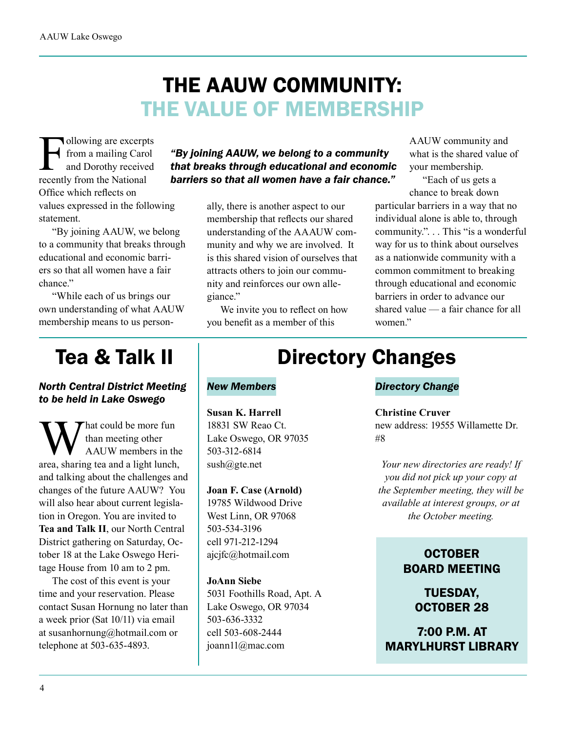# THE AAUW COMMUNITY: THE VALUE OF MEMBERSHIP

Following are excerpts<br>from a mailing Carol<br>and Dorothy received<br>recently from the National from a mailing Carol and Dorothy received recently from the National Office which reflects on values expressed in the following statement.

"By joining AAUW, we belong to a community that breaks through educational and economic barriers so that all women have a fair chance."

"While each of us brings our own understanding of what AAUW membership means to us person-

### *"By joining AAUW, we belong to a community that breaks through educational and economic barriers so that all women have a fair chance."*

ally, there is another aspect to our membership that reflects our shared understanding of the AAAUW community and why we are involved. It is this shared vision of ourselves that attracts others to join our community and reinforces our own allegiance."

We invite you to reflect on how you benefit as a member of this

AAUW community and what is the shared value of your membership.

"Each of us gets a chance to break down

particular barriers in a way that no individual alone is able to, through community.". . . This "is a wonderful way for us to think about ourselves as a nationwide community with a common commitment to breaking through educational and economic barriers in order to advance our shared value — a fair chance for all women."

## Tea & Talk II

#### *North Central District Meeting to be held in Lake Oswego*

What could be more fun<br>
han meeting other<br>
area, sharing tea and a light lunch, than meeting other AAUW members in the and talking about the challenges and changes of the future AAUW? You will also hear about current legislation in Oregon. You are invited to **Tea and Talk II**, our North Central District gathering on Saturday, October 18 at the Lake Oswego Heritage House from 10 am to 2 pm.

The cost of this event is your time and your reservation. Please contact Susan Hornung no later than a week prior (Sat 10/11) via email at susanhornung@hotmail.com or telephone at 503-635-4893.

## Directory Changes

#### *New Members*

**Susan K. Harrell** 18831 SW Reao Ct. Lake Oswego, OR 97035 503-312-6814  $sush@gte.net$ 

#### **Joan F. Case (Arnold)**

19785 Wildwood Drive West Linn, OR 97068 503-534-3196 cell 971-212-1294 ajcjfc@hotmail.com

**JoAnn Siebe** 5031 Foothills Road, Apt. A Lake Oswego, OR 97034 503-636-3332 cell 503-608-2444 joann11@mac.com

#### *Directory Change*

#### **Christine Cruver**

new address: 19555 Willamette Dr. #8

*Your new directories are ready! If you did not pick up your copy at the September meeting, they will be available at interest groups, or at the October meeting.*

## **OCTOBER** BOARD MEETING

TUESDAY, OCTOBER 28

7:00 P.M. AT MARYLHURST LIBRARY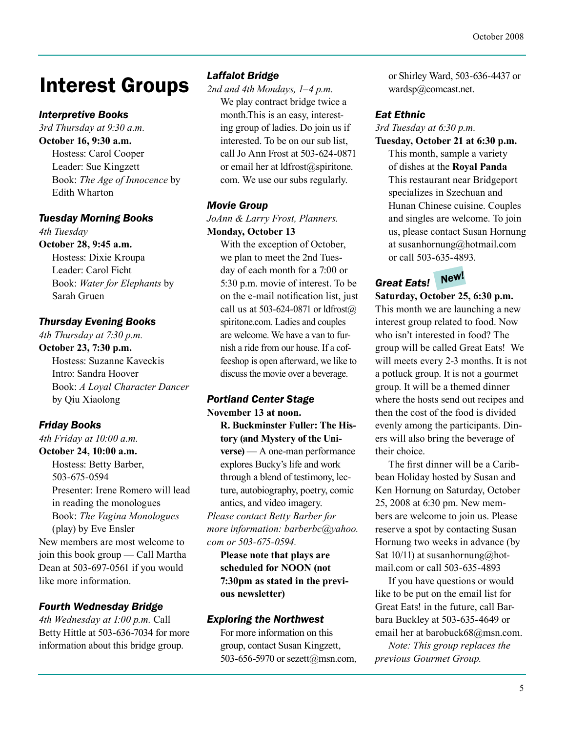## Interest Groups

### *Interpretive Books*

*3rd Thursday at 9:30 a.m.* **October 16, 9:30 a.m.** Hostess: Carol Cooper Leader: Sue Kingzett Book: *The Age of Innocence* by Edith Wharton

#### *Tuesday Morning Books*

*4th Tuesday* **October 28, 9:45 a.m.** Hostess: Dixie Kroupa Leader: Carol Ficht

Book: *Water for Elephants* by Sarah Gruen

### *Thursday Evening Books*

*4th Thursday at 7:30 p.m.*

**October 23, 7:30 p.m.** Hostess: Suzanne Kaveckis Intro: Sandra Hoover Book: *A Loyal Character Dancer* by Qiu Xiaolong

## *Friday Books*

*4th Friday at 10:00 a.m.* **October 24, 10:00 a.m.**

Hostess: Betty Barber, 503-675-0594 Presenter: Irene Romero will lead in reading the monologues Book: *The Vagina Monologues* (play) by Eve Ensler New members are most welcome to join this book group — Call Martha Dean at 503-697-0561 if you would like more information.

## *Fourth Wednesday Bridge*

*4th Wednesday at 1:00 p.m.* Call Betty Hittle at 503-636-7034 for more information about this bridge group.

### *Laffalot Bridge*

*2nd and 4th Mondays, 1–4 p.m.* We play contract bridge twice a month.This is an easy, interesting group of ladies. Do join us if interested. To be on our sub list, call Jo Ann Frost at 503-624-0871 or email her at ldfrost@spiritone. com. We use our subs regularly.

### *Movie Group*

*JoAnn & Larry Frost, Planners.* **Monday, October 13**

With the exception of October, we plan to meet the 2nd Tuesday of each month for a 7:00 or 5:30 p.m. movie of interest. To be on the e-mail notification list, just call us at 503-624-0871 or  $ldf(\bar{a})$ spiritone.com. Ladies and couples are welcome. We have a van to furnish a ride from our house. If a coffeeshop is open afterward, we like to discuss the movie over a beverage.

## *Portland Center Stage*

**November 13 at noon. R. Buckminster Fuller: The History (and Mystery of the Universe)** — A one-man performance explores Bucky's life and work through a blend of testimony, lecture, autobiography, poetry, comic antics, and video imagery.

*Please contact Betty Barber for more information: barberbc@yahoo. com or 503-675-0594.* 

**Please note that plays are scheduled for NOON (not 7:30pm as stated in the previous newsletter)**

### *Exploring the Northwest*

For more information on this group, contact Susan Kingzett, 503-656-5970 or sezett@msn.com, or Shirley Ward, 503-636-4437 or wardsp@comcast.net.

### *Eat Ethnic*

*3rd Tuesday at 6:30 p.m.*

**Tuesday, October 21 at 6:30 p.m.** This month, sample a variety of dishes at the **Royal Panda** This restaurant near Bridgeport specializes in Szechuan and Hunan Chinese cuisine. Couples and singles are welcome. To join us, please contact Susan Hornung at susanhornung@hotmail.com or call 503-635-4893.

#### *Great Eats! New!*

**Saturday, October 25, 6:30 p.m.** This month we are launching a new interest group related to food. Now who isn't interested in food? The group will be called Great Eats! We will meets every 2-3 months. It is not a potluck group. It is not a gourmet group. It will be a themed dinner where the hosts send out recipes and then the cost of the food is divided evenly among the participants. Diners will also bring the beverage of their choice.

The first dinner will be a Caribbean Holiday hosted by Susan and Ken Hornung on Saturday, October 25, 2008 at 6:30 pm. New members are welcome to join us. Please reserve a spot by contacting Susan Hornung two weeks in advance (by Sat  $10/11$ ) at susanhornung@hotmail.com or call 503-635-4893

If you have questions or would like to be put on the email list for Great Eats! in the future, call Barbara Buckley at 503-635-4649 or email her at barobuck68@msn.com.

*Note: This group replaces the previous Gourmet Group.*